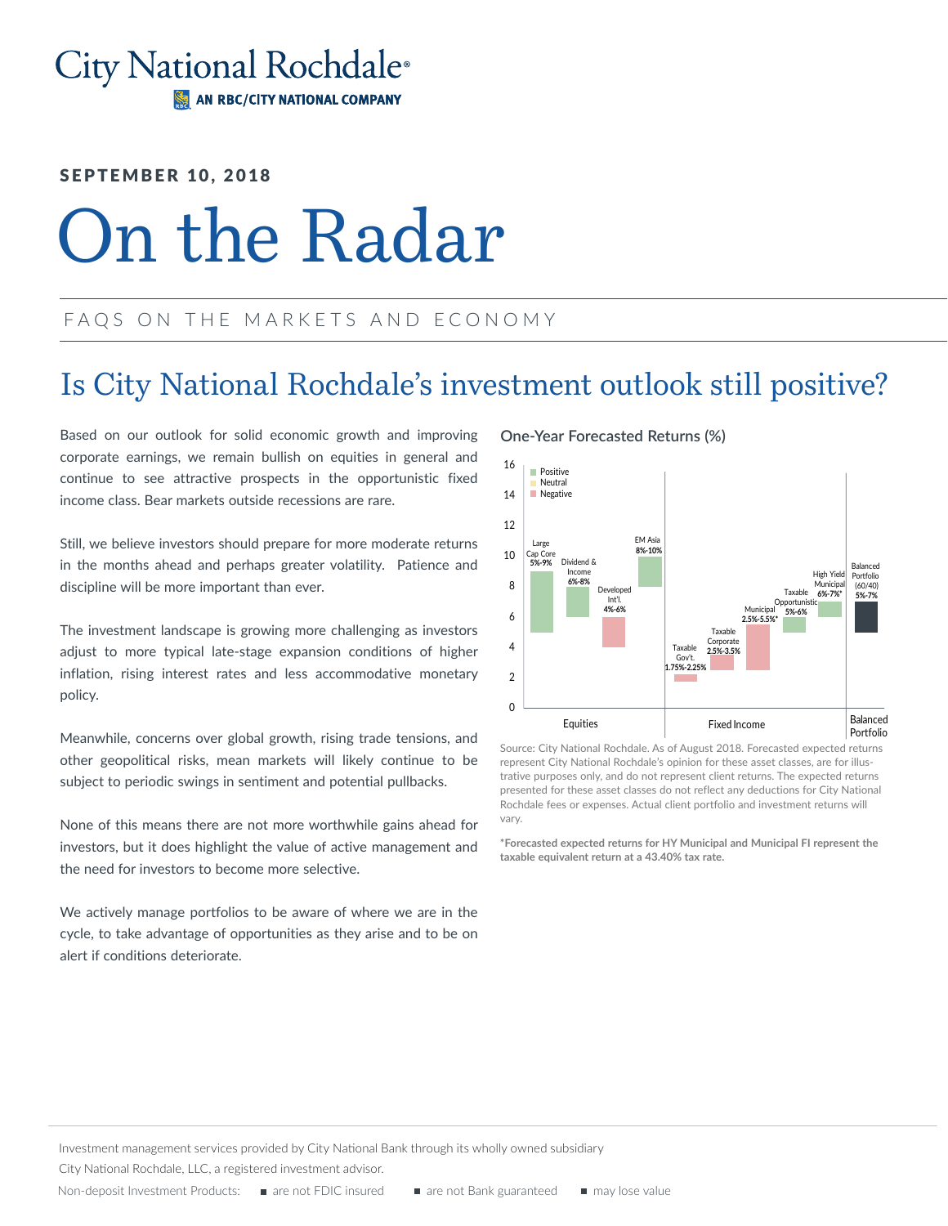### City National Rochdale® AN RBC/CITY NATIONAL COMPANY

### SEPTEMBER 10, 2018

# On the Radar

### FAQS ON THE MARKETS AND ECONOMY

### Is City National Rochdale's investment outlook still positive?

Based on our outlook for solid economic growth and improving corporate earnings, we remain bullish on equities in general and continue to see attractive prospects in the opportunistic fixed income class. Bear markets outside recessions are rare.

Still, we believe investors should prepare for more moderate returns in the months ahead and perhaps greater volatility. Patience and discipline will be more important than ever.

The investment landscape is growing more challenging as investors adjust to more typical late-stage expansion conditions of higher inflation, rising interest rates and less accommodative monetary policy.

Meanwhile, concerns over global growth, rising trade tensions, and other geopolitical risks, mean markets will likely continue to be subject to periodic swings in sentiment and potential pullbacks.

None of this means there are not more worthwhile gains ahead for investors, but it does highlight the value of active management and the need for investors to become more selective.

We actively manage portfolios to be aware of where we are in the cycle, to take advantage of opportunities as they arise and to be on alert if conditions deteriorate.

### **One-Year Forecasted Returns (%)**



Source: City National Rochdale. As of August 2018. Forecasted expected returns represent City National Rochdale's opinion for these asset classes, are for illustrative purposes only, and do not represent client returns. The expected returns presented for these asset classes do not reflect any deductions for City National Rochdale fees or expenses. Actual client portfolio and investment returns will vary.

**\*Forecasted expected returns for HY Municipal and Municipal FI represent the taxable equivalent return at a 43.40% tax rate.**

Investment management services provided by City National Bank through its wholly owned subsidiary

City National Rochdale, LLC, a registered investment advisor.

Non-deposit Investment Products: are not FDIC insured are not Bank guaranteed are may lose value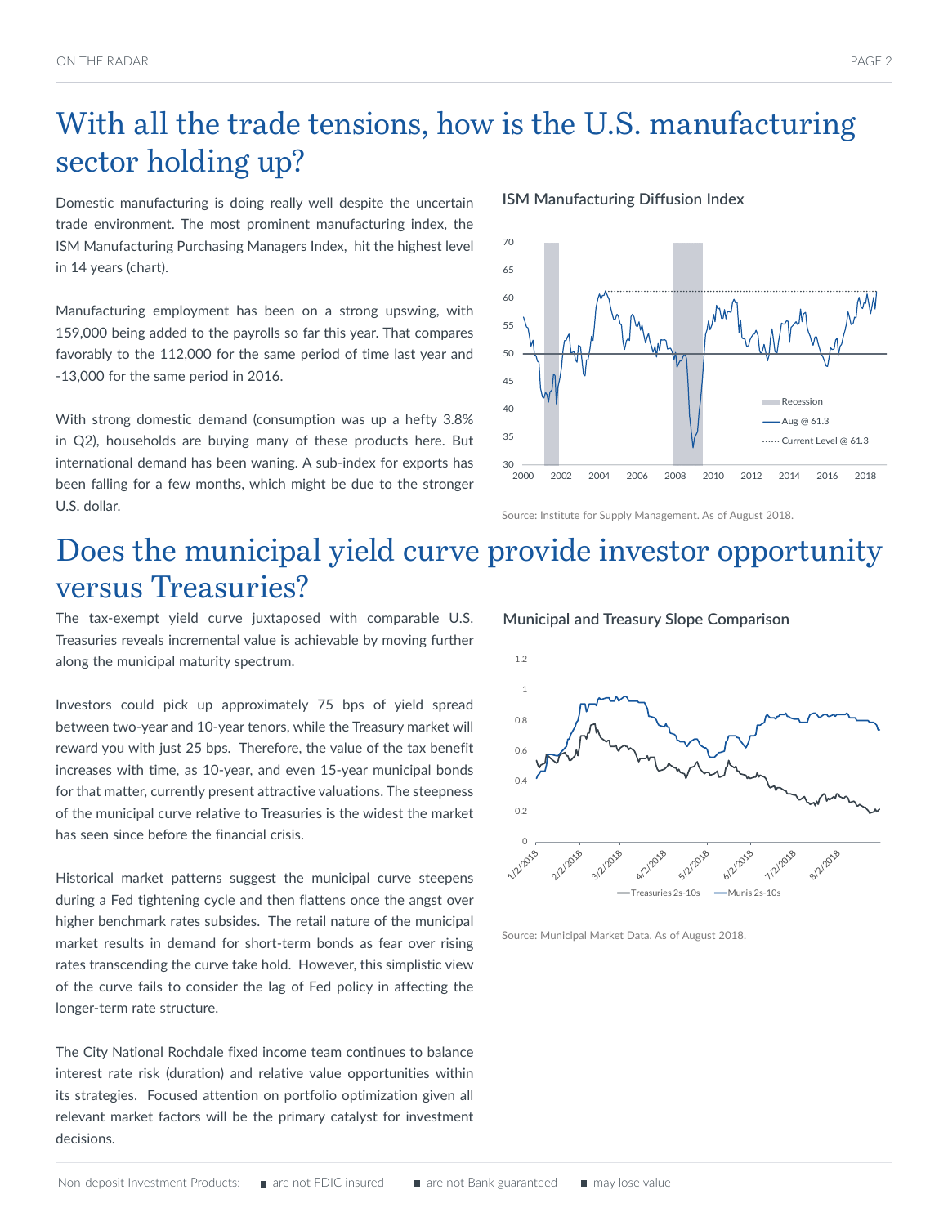### With all the trade tensions, how is the U.S. manufacturing sector holding up?

Domestic manufacturing is doing really well despite the uncertain trade environment. The most prominent manufacturing index, the ISM Manufacturing Purchasing Managers Index, hit the highest level in 14 years (chart).

Manufacturing employment has been on a strong upswing, with 159,000 being added to the payrolls so far this year. That compares favorably to the 112,000 for the same period of time last year and -13,000 for the same period in 2016.

With strong domestic demand (consumption was up a hefty 3.8% in Q2), households are buying many of these products here. But international demand has been waning. A sub-index for exports has been falling for a few months, which might be due to the stronger U.S. dollar.

#### **ISM Manufacturing Diffusion Index**



#### Source: Institute for Supply Management. As of August 2018.

**Municipal and Treasury Slope Comparison**

### Does the municipal yield curve provide investor opportunity versus Treasuries?

The tax-exempt yield curve juxtaposed with comparable U.S. Treasuries reveals incremental value is achievable by moving further along the municipal maturity spectrum.

Investors could pick up approximately 75 bps of yield spread between two-year and 10-year tenors, while the Treasury market will reward you with just 25 bps. Therefore, the value of the tax benefit increases with time, as 10-year, and even 15-year municipal bonds for that matter, currently present attractive valuations. The steepness of the municipal curve relative to Treasuries is the widest the market has seen since before the financial crisis.

Historical market patterns suggest the municipal curve steepens during a Fed tightening cycle and then flattens once the angst over higher benchmark rates subsides. The retail nature of the municipal market results in demand for short-term bonds as fear over rising rates transcending the curve take hold. However, this simplistic view of the curve fails to consider the lag of Fed policy in affecting the longer-term rate structure.

The City National Rochdale fixed income team continues to balance interest rate risk (duration) and relative value opportunities within its strategies. Focused attention on portfolio optimization given all relevant market factors will be the primary catalyst for investment decisions.

1.2 1 0.8 0.6  $0.4$ 0.2 **0** - 12/2028 8/2/2018 2/2/2018 3/2/2018 A/2/2018 5/2/2018 6/2/2018  $T$ reasuries  $2s-10s$   $\longrightarrow$  Munis  $2s-10s$ 

Source: Municipal Market Data. As of August 2018.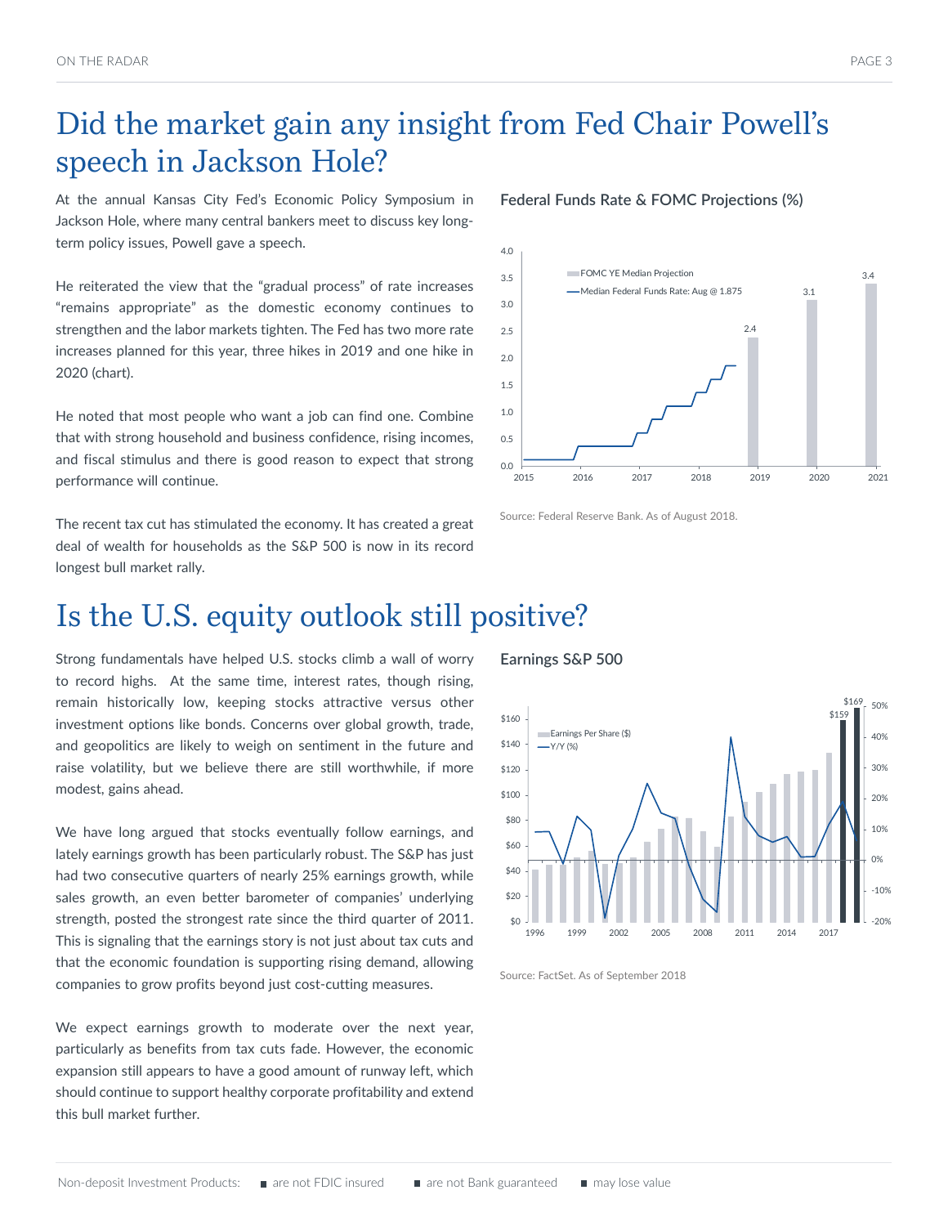### Did the market gain any insight from Fed Chair Powell's speech in Jackson Hole?

At the annual Kansas City Fed's Economic Policy Symposium in Jackson Hole, where many central bankers meet to discuss key longterm policy issues, Powell gave a speech.

He reiterated the view that the "gradual process" of rate increases "remains appropriate" as the domestic economy continues to strengthen and the labor markets tighten. The Fed has two more rate increases planned for this year, three hikes in 2019 and one hike in 2020 (chart).

He noted that most people who want a job can find one. Combine that with strong household and business confidence, rising incomes, and fiscal stimulus and there is good reason to expect that strong performance will continue.

The recent tax cut has stimulated the economy. It has created a great deal of wealth for households as the S&P 500 is now in its record longest bull market rally.

## Is the U.S. equity outlook still positive?

Strong fundamentals have helped U.S. stocks climb a wall of worry to record highs. At the same time, interest rates, though rising, remain historically low, keeping stocks attractive versus other investment options like bonds. Concerns over global growth, trade, and geopolitics are likely to weigh on sentiment in the future and raise volatility, but we believe there are still worthwhile, if more modest, gains ahead.

We have long argued that stocks eventually follow earnings, and lately earnings growth has been particularly robust. The S&P has just had two consecutive quarters of nearly 25% earnings growth, while sales growth, an even better barometer of companies' underlying strength, posted the strongest rate since the third quarter of 2011. This is signaling that the earnings story is not just about tax cuts and that the economic foundation is supporting rising demand, allowing companies to grow profits beyond just cost-cutting measures.

We expect earnings growth to moderate over the next year, particularly as benefits from tax cuts fade. However, the economic expansion still appears to have a good amount of runway left, which should continue to support healthy corporate profitability and extend this bull market further.

#### **Federal Funds Rate & FOMC Projections (%)**



Source: Federal Reserve Bank. As of August 2018.

#### **Earnings S&P 500**



Source: FactSet. As of September 2018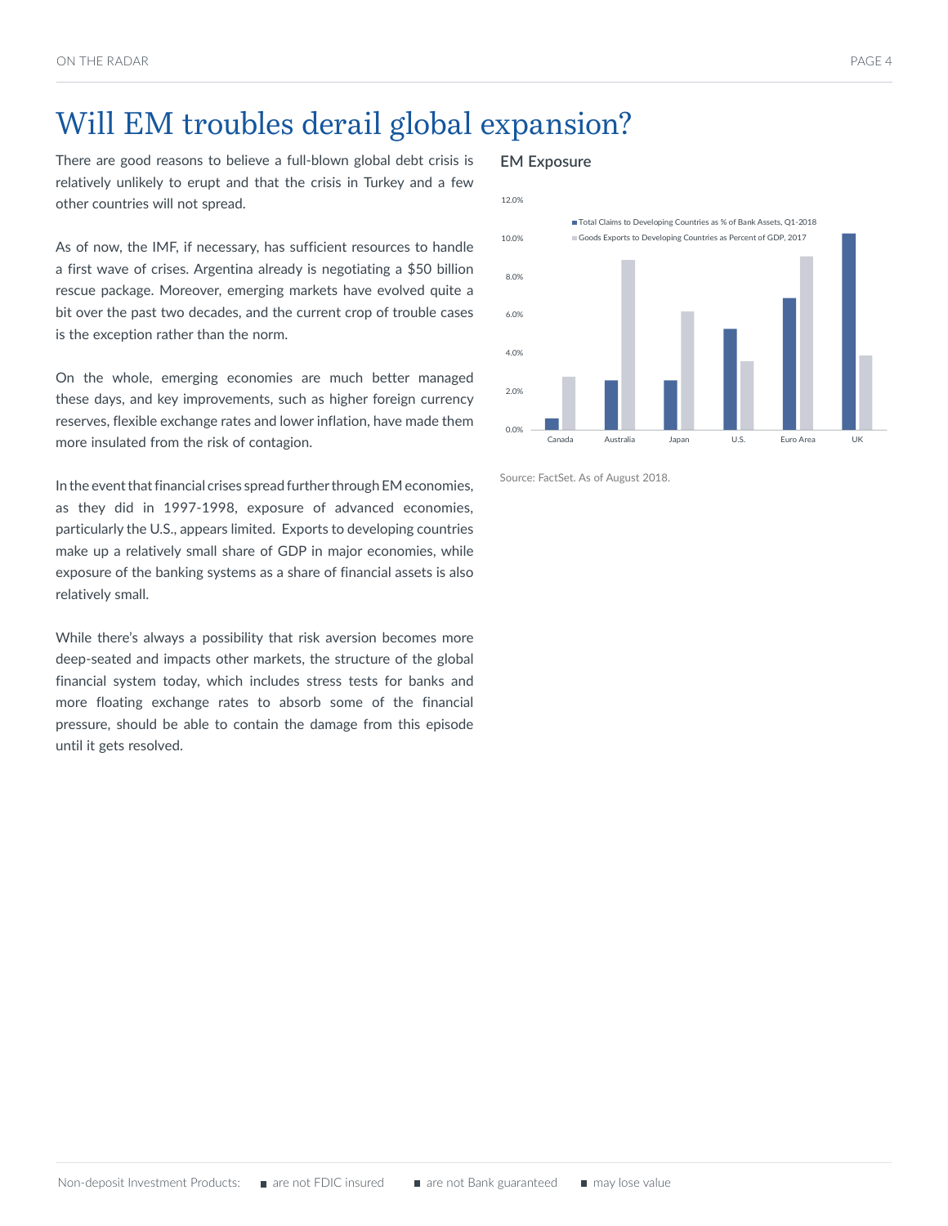### Will EM troubles derail global expansion?

There are good reasons to believe a full-blown global debt crisis is relatively unlikely to erupt and that the crisis in Turkey and a few other countries will not spread.

As of now, the IMF, if necessary, has sufficient resources to handle a first wave of crises. Argentina already is negotiating a \$50 billion rescue package. Moreover, emerging markets have evolved quite a bit over the past two decades, and the current crop of trouble cases is the exception rather than the norm.

On the whole, emerging economies are much better managed these days, and key improvements, such as higher foreign currency reserves, flexible exchange rates and lower inflation, have made them more insulated from the risk of contagion.

In the event that financial crises spread further through EM economies, as they did in 1997-1998, exposure of advanced economies, particularly the U.S., appears limited. Exports to developing countries make up a relatively small share of GDP in major economies, while exposure of the banking systems as a share of financial assets is also relatively small.

While there's always a possibility that risk aversion becomes more deep-seated and impacts other markets, the structure of the global financial system today, which includes stress tests for banks and more floating exchange rates to absorb some of the financial pressure, should be able to contain the damage from this episode until it gets resolved.

### **EM Exposure**



Source: FactSet. As of August 2018.